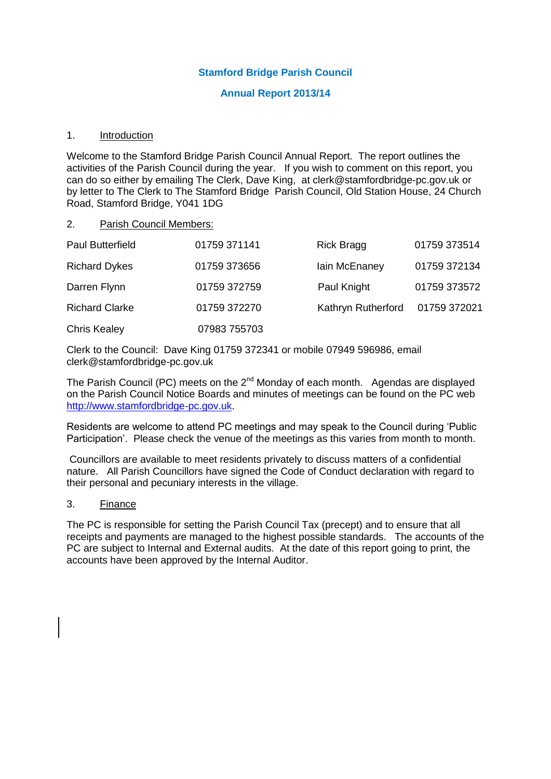# **Stamford Bridge Parish Council**

#### **Annual Report 2013/14**

#### 1. Introduction

Welcome to the Stamford Bridge Parish Council Annual Report. The report outlines the activities of the Parish Council during the year. If you wish to comment on this report, you can do so either by emailing The Clerk, Dave King, at clerk@stamfordbridge-pc.gov.uk or by letter to The Clerk to The Stamford Bridge Parish Council, Old Station House, 24 Church Road, Stamford Bridge, Y041 1DG

#### 2. Parish Council Members:

| <b>Paul Butterfield</b> | 01759 371141 | <b>Rick Bragg</b>  | 01759 373514 |
|-------------------------|--------------|--------------------|--------------|
| <b>Richard Dykes</b>    | 01759 373656 | lain McEnaney      | 01759 372134 |
| Darren Flynn            | 01759 372759 | Paul Knight        | 01759 373572 |
| <b>Richard Clarke</b>   | 01759 372270 | Kathryn Rutherford | 01759 372021 |
| <b>Chris Kealey</b>     | 07983 755703 |                    |              |

Clerk to the Council: Dave King 01759 372341 or mobile 07949 596986, email clerk@stamfordbridge-pc.gov.uk

The Parish Council (PC) meets on the 2<sup>nd</sup> Monday of each month. Agendas are displayed on the Parish Council Notice Boards and minutes of meetings can be found on the PC web [http://www.stamfordbridge-pc.gov.uk.](http://www.stamfordbridge-pc.gov.uk/)

Residents are welcome to attend PC meetings and may speak to the Council during 'Public Participation'. Please check the venue of the meetings as this varies from month to month.

Councillors are available to meet residents privately to discuss matters of a confidential nature. All Parish Councillors have signed the Code of Conduct declaration with regard to their personal and pecuniary interests in the village.

#### 3. Finance

The PC is responsible for setting the Parish Council Tax (precept) and to ensure that all receipts and payments are managed to the highest possible standards. The accounts of the PC are subject to Internal and External audits. At the date of this report going to print, the accounts have been approved by the Internal Auditor.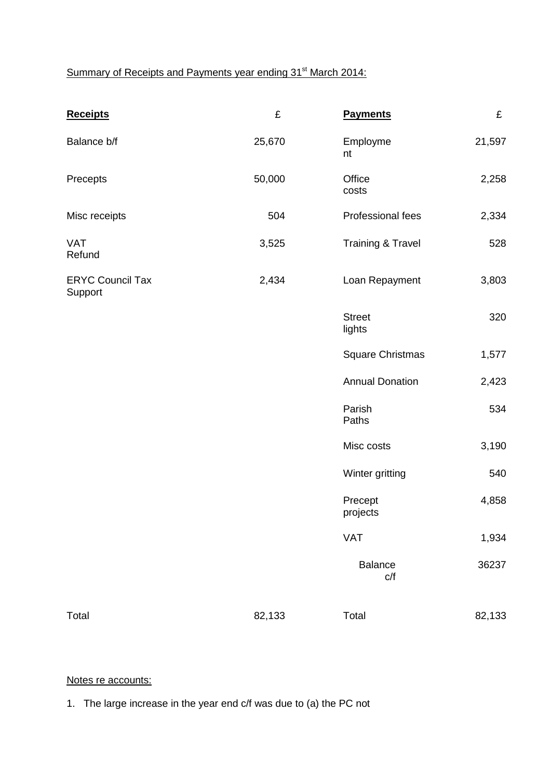# Summary of Receipts and Payments year ending 31<sup>st</sup> March 2014:

| <b>Receipts</b>                    | £      | <b>Payments</b>              | £      |
|------------------------------------|--------|------------------------------|--------|
| Balance b/f                        | 25,670 | Employme<br>nt               | 21,597 |
| Precepts                           | 50,000 | Office<br>costs              | 2,258  |
| Misc receipts                      | 504    | Professional fees            | 2,334  |
| <b>VAT</b><br>Refund               | 3,525  | <b>Training &amp; Travel</b> | 528    |
| <b>ERYC Council Tax</b><br>Support | 2,434  | Loan Repayment               | 3,803  |
|                                    |        | <b>Street</b><br>lights      | 320    |
|                                    |        | <b>Square Christmas</b>      | 1,577  |
|                                    |        | <b>Annual Donation</b>       | 2,423  |
|                                    |        | Parish<br>Paths              | 534    |
|                                    |        | Misc costs                   | 3,190  |
|                                    |        | Winter gritting              | 540    |
|                                    |        | Precept<br>projects          | 4,858  |
|                                    |        | VAT                          | 1,934  |
|                                    |        | <b>Balance</b><br>C/f        | 36237  |
| Total                              | 82,133 | Total                        | 82,133 |

# Notes re accounts:

1. The large increase in the year end c/f was due to (a) the PC not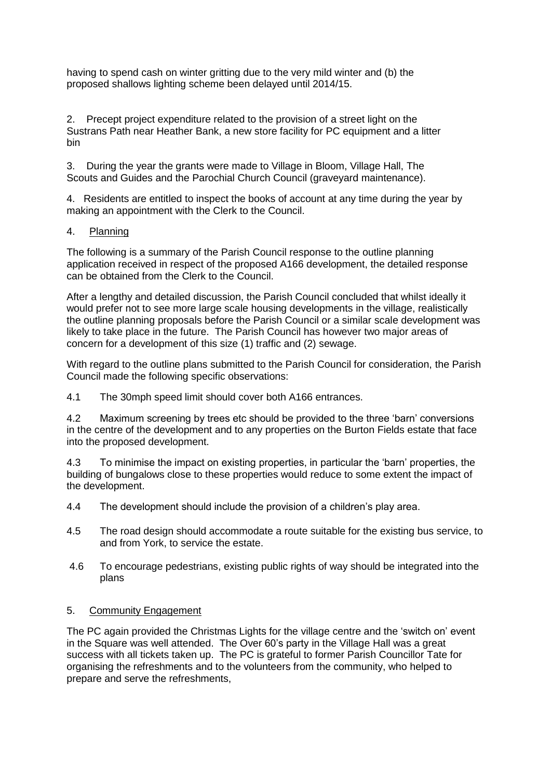having to spend cash on winter gritting due to the very mild winter and (b) the proposed shallows lighting scheme been delayed until 2014/15.

2. Precept project expenditure related to the provision of a street light on the Sustrans Path near Heather Bank, a new store facility for PC equipment and a litter bin

3. During the year the grants were made to Village in Bloom, Village Hall, The Scouts and Guides and the Parochial Church Council (graveyard maintenance).

4. Residents are entitled to inspect the books of account at any time during the year by making an appointment with the Clerk to the Council.

#### 4. Planning

The following is a summary of the Parish Council response to the outline planning application received in respect of the proposed A166 development, the detailed response can be obtained from the Clerk to the Council.

After a lengthy and detailed discussion, the Parish Council concluded that whilst ideally it would prefer not to see more large scale housing developments in the village, realistically the outline planning proposals before the Parish Council or a similar scale development was likely to take place in the future. The Parish Council has however two major areas of concern for a development of this size (1) traffic and (2) sewage.

With regard to the outline plans submitted to the Parish Council for consideration, the Parish Council made the following specific observations:

4.1 The 30mph speed limit should cover both A166 entrances.

4.2 Maximum screening by trees etc should be provided to the three 'barn' conversions in the centre of the development and to any properties on the Burton Fields estate that face into the proposed development.

4.3 To minimise the impact on existing properties, in particular the 'barn' properties, the building of bungalows close to these properties would reduce to some extent the impact of the development.

- 4.4 The development should include the provision of a children's play area.
- 4.5 The road design should accommodate a route suitable for the existing bus service, to and from York, to service the estate.
- 4.6 To encourage pedestrians, existing public rights of way should be integrated into the plans

#### 5. Community Engagement

The PC again provided the Christmas Lights for the village centre and the 'switch on' event in the Square was well attended. The Over 60's party in the Village Hall was a great success with all tickets taken up. The PC is grateful to former Parish Councillor Tate for organising the refreshments and to the volunteers from the community, who helped to prepare and serve the refreshments,